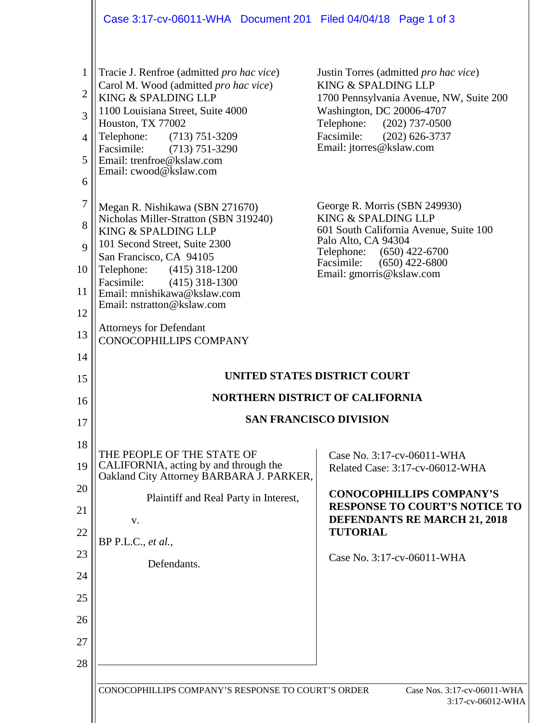|                                                                                  | Case 3:17-cv-06011-WHA Document 201 Filed 04/04/18 Page 1 of 3                                                                                                                                                                                                                                                                                                                                                                                                                                                                                                               |                                                                                                                                                                                                                                                                                                                                                                                                                                                                  |  |  |  |  |
|----------------------------------------------------------------------------------|------------------------------------------------------------------------------------------------------------------------------------------------------------------------------------------------------------------------------------------------------------------------------------------------------------------------------------------------------------------------------------------------------------------------------------------------------------------------------------------------------------------------------------------------------------------------------|------------------------------------------------------------------------------------------------------------------------------------------------------------------------------------------------------------------------------------------------------------------------------------------------------------------------------------------------------------------------------------------------------------------------------------------------------------------|--|--|--|--|
| $\mathbf{1}$<br>$\mathbf{2}$<br>3<br>4<br>5<br>6<br>$\tau$<br>8<br>9<br>10<br>11 | Tracie J. Renfroe (admitted <i>pro hac vice</i> )<br>Carol M. Wood (admitted pro hac vice)<br>KING & SPALDING LLP<br>1100 Louisiana Street, Suite 4000<br>Houston, TX 77002<br>Telephone:<br>$(713) 751 - 3209$<br>Facsimile:<br>$(713) 751 - 3290$<br>Email: trenfroe@kslaw.com<br>Email: cwood@kslaw.com<br>Megan R. Nishikawa (SBN 271670)<br>Nicholas Miller-Stratton (SBN 319240)<br>KING & SPALDING LLP<br>101 Second Street, Suite 2300<br>San Francisco, CA 94105<br>Telephone:<br>$(415)$ 318-1200<br>Facsimile:<br>$(415)$ 318-1300<br>Email: mnishikawa@kslaw.com | Justin Torres (admitted <i>pro hac vice</i> )<br>KING & SPALDING LLP<br>1700 Pennsylvania Avenue, NW, Suite 200<br>Washington, DC 20006-4707<br>Telephone: (202) 737-0500<br>Facsimile:<br>$(202)$ 626-3737<br>Email: jtorres@kslaw.com<br>George R. Morris (SBN 249930)<br>KING & SPALDING LLP<br>601 South California Avenue, Suite 100<br>Palo Alto, CA 94304<br>$(650)$ 422-6700<br>Telephone:<br>$(650)$ 422-6800<br>Facsimile:<br>Email: gmorris@kslaw.com |  |  |  |  |
| 12<br>13<br>14                                                                   | Email: nstratton@kslaw.com<br><b>Attorneys for Defendant</b><br><b>CONOCOPHILLIPS COMPANY</b>                                                                                                                                                                                                                                                                                                                                                                                                                                                                                |                                                                                                                                                                                                                                                                                                                                                                                                                                                                  |  |  |  |  |
| 15                                                                               | UNITED STATES DISTRICT COURT                                                                                                                                                                                                                                                                                                                                                                                                                                                                                                                                                 |                                                                                                                                                                                                                                                                                                                                                                                                                                                                  |  |  |  |  |
| 16                                                                               | <b>NORTHERN DISTRICT OF CALIFORNIA</b>                                                                                                                                                                                                                                                                                                                                                                                                                                                                                                                                       |                                                                                                                                                                                                                                                                                                                                                                                                                                                                  |  |  |  |  |
| 17                                                                               | <b>SAN FRANCISCO DIVISION</b>                                                                                                                                                                                                                                                                                                                                                                                                                                                                                                                                                |                                                                                                                                                                                                                                                                                                                                                                                                                                                                  |  |  |  |  |
| 18<br>19<br>20<br>21<br>22<br>23<br>24<br>25<br>26                               | THE PEOPLE OF THE STATE OF<br>CALIFORNIA, acting by and through the<br>Oakland City Attorney BARBARA J. PARKER,<br>Plaintiff and Real Party in Interest,<br>V.<br>BP P.L.C., et al.,<br>Defendants.                                                                                                                                                                                                                                                                                                                                                                          | Case No. 3:17-cv-06011-WHA<br>Related Case: 3:17-cv-06012-WHA<br><b>CONOCOPHILLIPS COMPANY'S</b><br><b>RESPONSE TO COURT'S NOTICE TO</b><br>DEFENDANTS RE MARCH 21, 2018<br><b>TUTORIAL</b><br>Case No. 3:17-cv-06011-WHA                                                                                                                                                                                                                                        |  |  |  |  |
| 27<br>28                                                                         |                                                                                                                                                                                                                                                                                                                                                                                                                                                                                                                                                                              |                                                                                                                                                                                                                                                                                                                                                                                                                                                                  |  |  |  |  |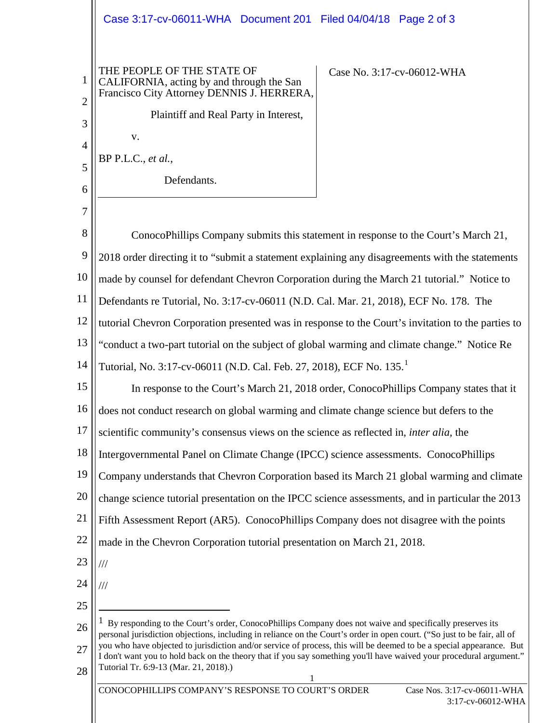1 1 2 3 4 5 6 7 8 9 10 11 12 13 14 15 16 17 18 19 20 21 22 23 24 25 26 27 28 THE PEOPLE OF THE STATE OF CALIFORNIA, acting by and through the San Francisco City Attorney DENNIS J. HERRERA, Plaintiff and Real Party in Interest, v. BP P.L.C., *et al.*, Defendants. Case No. 3:17-cv-06012-WHA ConocoPhillips Company submits this statement in response to the Court's March 21, 2018 order directing it to "submit a statement explaining any disagreements with the statements made by counsel for defendant Chevron Corporation during the March 21 tutorial." Notice to Defendants re Tutorial, No. 3:17-cv-06011 (N.D. Cal. Mar. 21, 2018), ECF No. 178. The tutorial Chevron Corporation presented was in response to the Court's invitation to the parties to "conduct a two-part tutorial on the subject of global warming and climate change." Notice Re Tutorial, No. 3:[1](#page-1-0)7-cv-06011 (N.D. Cal. Feb. 27, 2018), ECF No. 135. In response to the Court's March 21, 2018 order, ConocoPhillips Company states that it does not conduct research on global warming and climate change science but defers to the scientific community's consensus views on the science as reflected in, *inter alia,* the Intergovernmental Panel on Climate Change (IPCC) science assessments. ConocoPhillips Company understands that Chevron Corporation based its March 21 global warming and climate change science tutorial presentation on the IPCC science assessments, and in particular the 2013 Fifth Assessment Report (AR5). ConocoPhillips Company does not disagree with the points made in the Chevron Corporation tutorial presentation on March 21, 2018. /// ///  $<sup>1</sup>$  By responding to the Court's order, ConocoPhillips Company does not waive and specifically preserves its</sup> personal jurisdiction objections, including in reliance on the Court's order in open court. ("So just to be fair, all of you who have objected to jurisdiction and/or service of process, this will be deemed to be a special appearance. But I don't want you to hold back on the theory that if you say something you'll have waived your procedural argument." Tutorial Tr. 6:9-13 (Mar. 21, 2018).) Case 3:17-cv-06011-WHA Document 201 Filed 04/04/18 Page 2 of 3

<span id="page-1-0"></span>CONOCOPHILLIPS COMPANY'S RESPONSE TO COURT'S ORDER Case Nos. 3:17-cv-06011-WHA